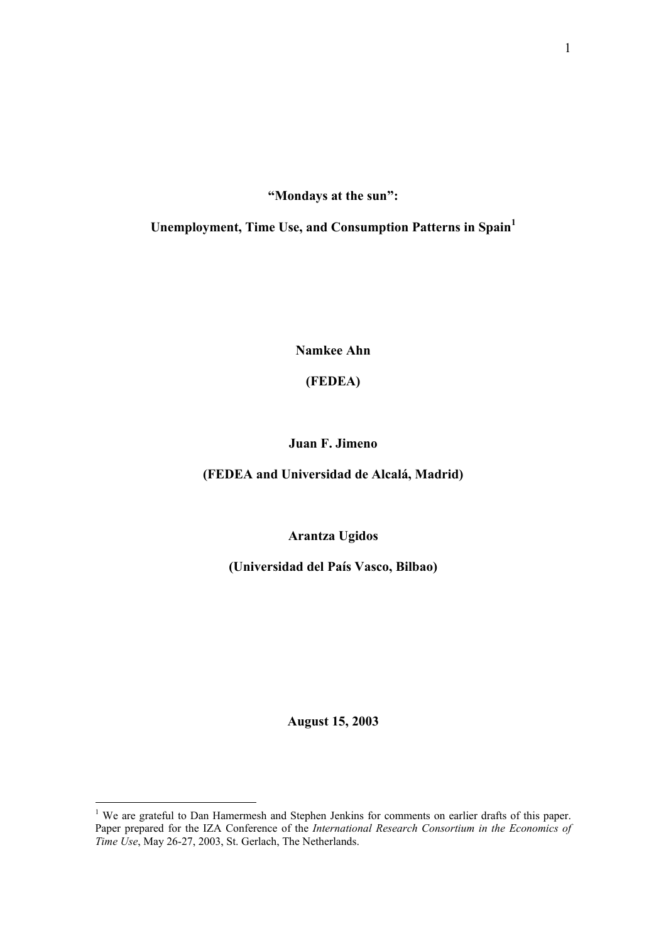**"Mondays at the sun":** 

**Unemployment, Time Use, and Consumption Patterns in Spain[1](#page-0-0)**

**Namkee Ahn** 

## **(FEDEA)**

**Juan F. Jimeno** 

**(FEDEA and Universidad de Alcalá, Madrid)** 

**Arantza Ugidos** 

**(Universidad del País Vasco, Bilbao)**

**August 15, 2003** 

<span id="page-0-0"></span><sup>&</sup>lt;sup>1</sup> We are grateful to Dan Hamermesh and Stephen Jenkins for comments on earlier drafts of this paper. Paper prepared for the IZA Conference of the *International Research Consortium in the Economics of Time Use*, May 26-27, 2003, St. Gerlach, The Netherlands.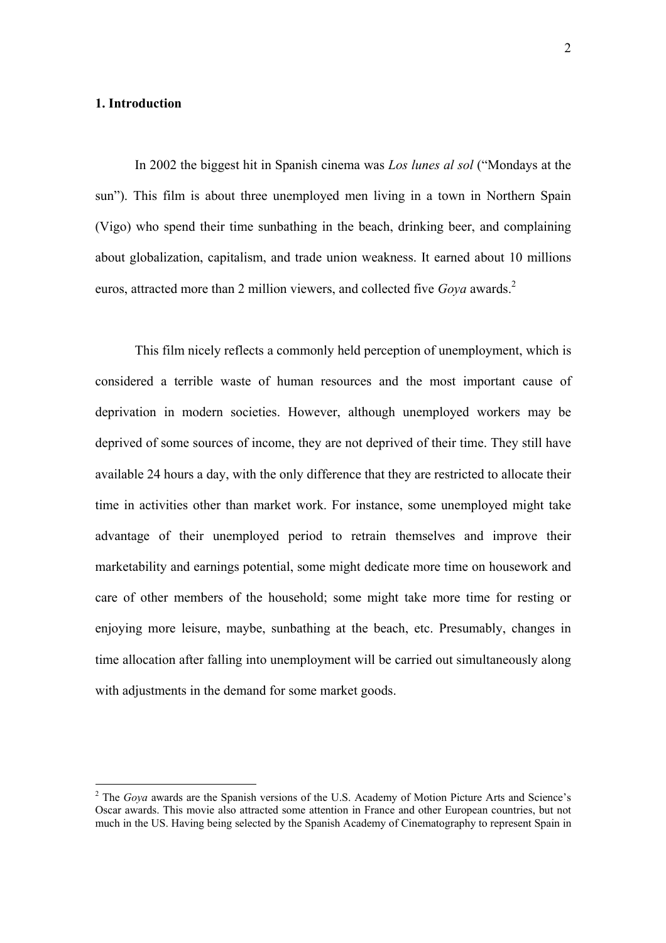#### **1. Introduction**

 $\overline{a}$ 

In 2002 the biggest hit in Spanish cinema was *Los lunes al sol* ("Mondays at the sun"). This film is about three unemployed men living in a town in Northern Spain (Vigo) who spend their time sunbathing in the beach, drinking beer, and complaining about globalization, capitalism, and trade union weakness. It earned about 10 millions euros, attracted more than 2 million viewers, and collected five *Goya* awards.<sup>2</sup>

This film nicely reflects a commonly held perception of unemployment, which is considered a terrible waste of human resources and the most important cause of deprivation in modern societies. However, although unemployed workers may be deprived of some sources of income, they are not deprived of their time. They still have available 24 hours a day, with the only difference that they are restricted to allocate their time in activities other than market work. For instance, some unemployed might take advantage of their unemployed period to retrain themselves and improve their marketability and earnings potential, some might dedicate more time on housework and care of other members of the household; some might take more time for resting or enjoying more leisure, maybe, sunbathing at the beach, etc. Presumably, changes in time allocation after falling into unemployment will be carried out simultaneously along with adjustments in the demand for some market goods.

<span id="page-1-0"></span><sup>&</sup>lt;sup>2</sup> The *Goya* awards are the Spanish versions of the U.S. Academy of Motion Picture Arts and Science's Oscar awards. This movie also attracted some attention in France and other European countries, but not much in the US. Having being selected by the Spanish Academy of Cinematography to represent Spain in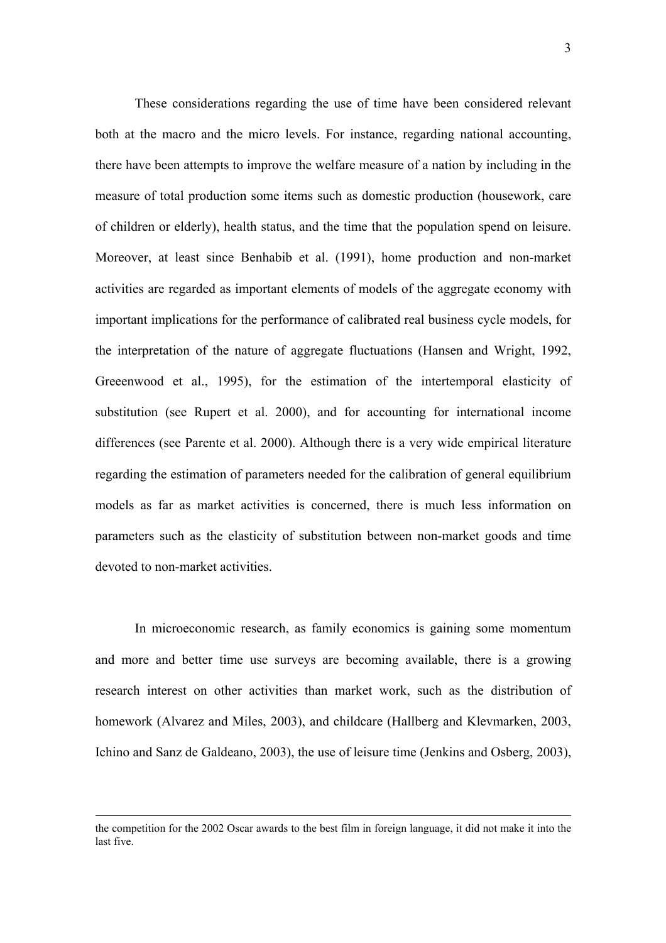These considerations regarding the use of time have been considered relevant both at the macro and the micro levels. For instance, regarding national accounting, there have been attempts to improve the welfare measure of a nation by including in the measure of total production some items such as domestic production (housework, care of children or elderly), health status, and the time that the population spend on leisure. Moreover, at least since Benhabib et al. (1991), home production and non-market activities are regarded as important elements of models of the aggregate economy with important implications for the performance of calibrated real business cycle models, for the interpretation of the nature of aggregate fluctuations (Hansen and Wright, 1992, Greeenwood et al., 1995), for the estimation of the intertemporal elasticity of substitution (see Rupert et al. 2000), and for accounting for international income differences (see Parente et al. 2000). Although there is a very wide empirical literature regarding the estimation of parameters needed for the calibration of general equilibrium models as far as market activities is concerned, there is much less information on parameters such as the elasticity of substitution between non-market goods and time devoted to non-market activities.

In microeconomic research, as family economics is gaining some momentum and more and better time use surveys are becoming available, there is a growing research interest on other activities than market work, such as the distribution of homework (Alvarez and Miles, 2003), and childcare (Hallberg and Klevmarken, 2003, Ichino and Sanz de Galdeano, 2003), the use of leisure time (Jenkins and Osberg, 2003),

the competition for the 2002 Oscar awards to the best film in foreign language, it did not make it into the last five.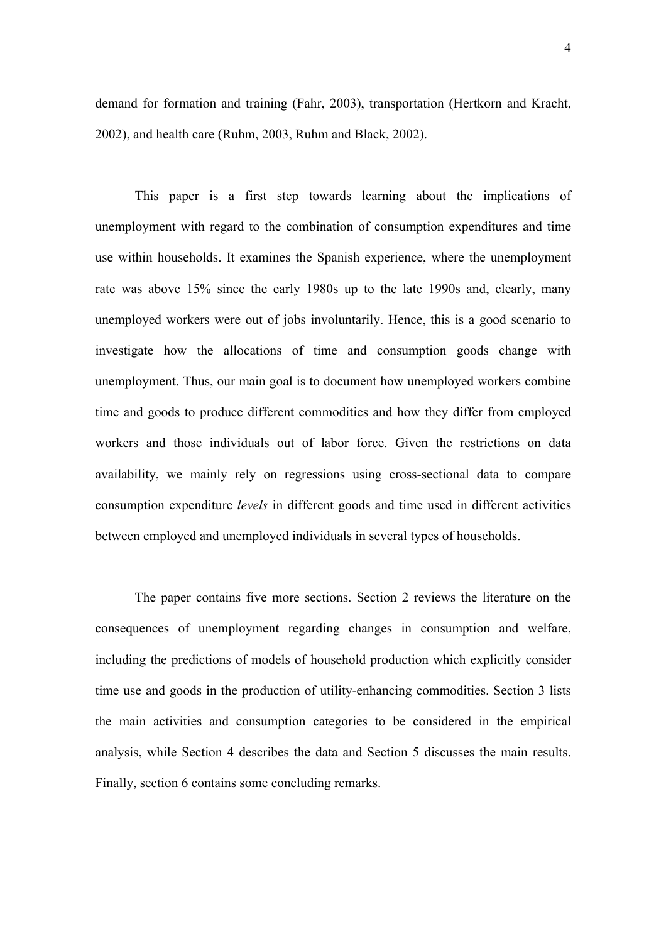demand for formation and training (Fahr, 2003), transportation (Hertkorn and Kracht, 2002), and health care (Ruhm, 2003, Ruhm and Black, 2002).

This paper is a first step towards learning about the implications of unemployment with regard to the combination of consumption expenditures and time use within households. It examines the Spanish experience, where the unemployment rate was above 15% since the early 1980s up to the late 1990s and, clearly, many unemployed workers were out of jobs involuntarily. Hence, this is a good scenario to investigate how the allocations of time and consumption goods change with unemployment. Thus, our main goal is to document how unemployed workers combine time and goods to produce different commodities and how they differ from employed workers and those individuals out of labor force. Given the restrictions on data availability, we mainly rely on regressions using cross-sectional data to compare consumption expenditure *levels* in different goods and time used in different activities between employed and unemployed individuals in several types of households.

The paper contains five more sections. Section 2 reviews the literature on the consequences of unemployment regarding changes in consumption and welfare, including the predictions of models of household production which explicitly consider time use and goods in the production of utility-enhancing commodities. Section 3 lists the main activities and consumption categories to be considered in the empirical analysis, while Section 4 describes the data and Section 5 discusses the main results. Finally, section 6 contains some concluding remarks.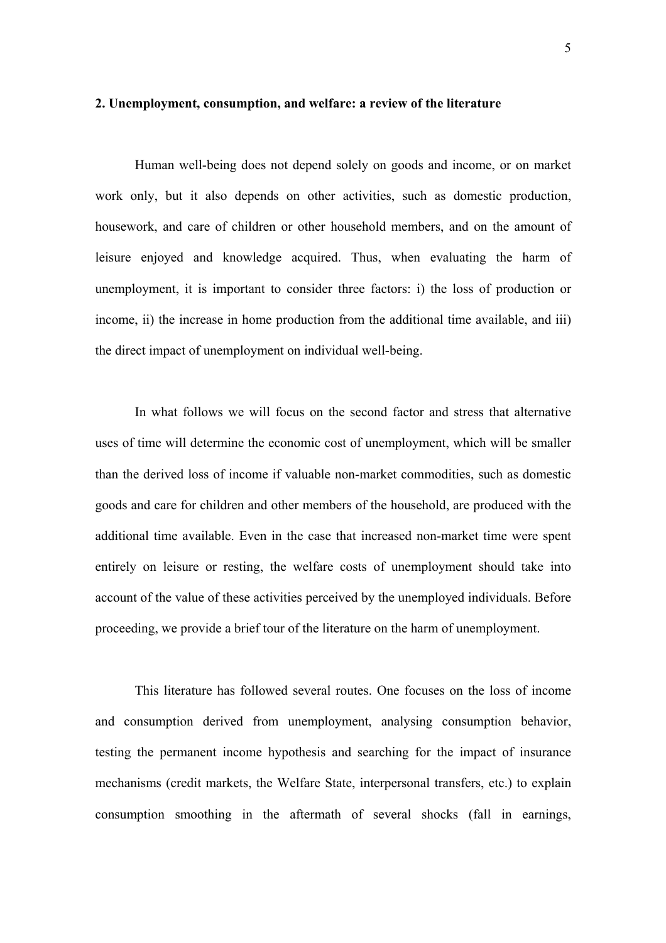#### **2. Unemployment, consumption, and welfare: a review of the literature**

Human well-being does not depend solely on goods and income, or on market work only, but it also depends on other activities, such as domestic production, housework, and care of children or other household members, and on the amount of leisure enjoyed and knowledge acquired. Thus, when evaluating the harm of unemployment, it is important to consider three factors: i) the loss of production or income, ii) the increase in home production from the additional time available, and iii) the direct impact of unemployment on individual well-being.

In what follows we will focus on the second factor and stress that alternative uses of time will determine the economic cost of unemployment, which will be smaller than the derived loss of income if valuable non-market commodities, such as domestic goods and care for children and other members of the household, are produced with the additional time available. Even in the case that increased non-market time were spent entirely on leisure or resting, the welfare costs of unemployment should take into account of the value of these activities perceived by the unemployed individuals. Before proceeding, we provide a brief tour of the literature on the harm of unemployment.

This literature has followed several routes. One focuses on the loss of income and consumption derived from unemployment, analysing consumption behavior, testing the permanent income hypothesis and searching for the impact of insurance mechanisms (credit markets, the Welfare State, interpersonal transfers, etc.) to explain consumption smoothing in the aftermath of several shocks (fall in earnings,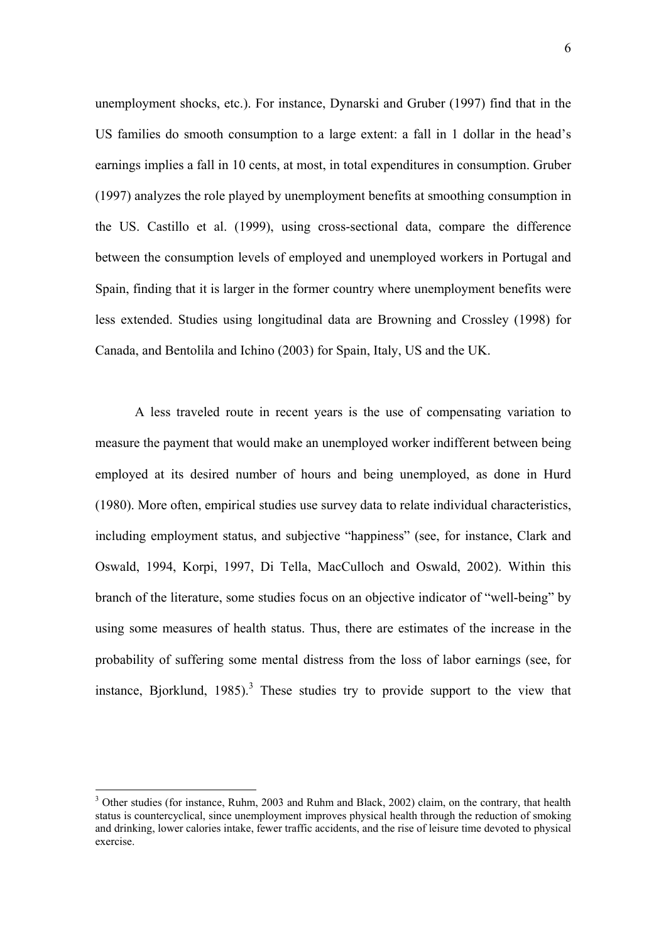unemployment shocks, etc.). For instance, Dynarski and Gruber (1997) find that in the US families do smooth consumption to a large extent: a fall in 1 dollar in the head's earnings implies a fall in 10 cents, at most, in total expenditures in consumption. Gruber (1997) analyzes the role played by unemployment benefits at smoothing consumption in the US. Castillo et al. (1999), using cross-sectional data, compare the difference between the consumption levels of employed and unemployed workers in Portugal and Spain, finding that it is larger in the former country where unemployment benefits were less extended. Studies using longitudinal data are Browning and Crossley (1998) for Canada, and Bentolila and Ichino (2003) for Spain, Italy, US and the UK.

A less traveled route in recent years is the use of compensating variation to measure the payment that would make an unemployed worker indifferent between being employed at its desired number of hours and being unemployed, as done in Hurd (1980). More often, empirical studies use survey data to relate individual characteristics, including employment status, and subjective "happiness" (see, for instance, Clark and Oswald, 1994, Korpi, 1997, Di Tella, MacCulloch and Oswald, 2002). Within this branch of the literature, some studies focus on an objective indicator of "well-being" by using some measures of health status. Thus, there are estimates of the increase in the probability of suffering some mental distress from the loss of labor earnings (see, for instance, Bjorklund, 1985).<sup>3</sup> These studies try to provide support to the view that

<span id="page-5-0"></span><sup>&</sup>lt;sup>3</sup> Other studies (for instance, Ruhm, 2003 and Ruhm and Black, 2002) claim, on the contrary, that health status is countercyclical, since unemployment improves physical health through the reduction of smoking and drinking, lower calories intake, fewer traffic accidents, and the rise of leisure time devoted to physical exercise.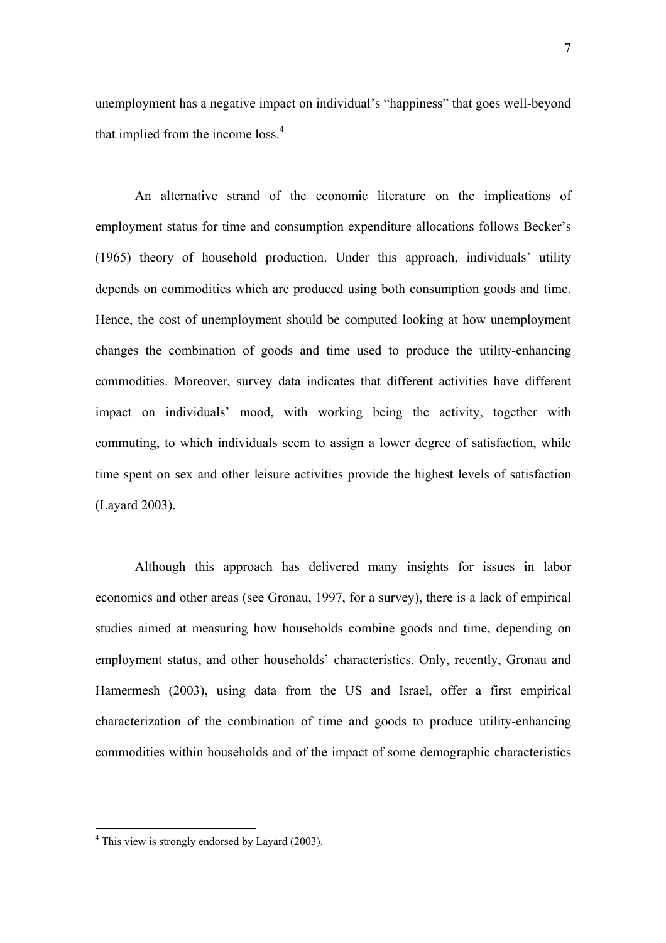unemployment has a negative impact on individual's "happiness" that goes well-beyond that implied from the income loss. $4$ 

An alternative strand of the economic literature on the implications of employment status for time and consumption expenditure allocations follows Becker's (1965) theory of household production. Under this approach, individuals' utility depends on commodities which are produced using both consumption goods and time. Hence, the cost of unemployment should be computed looking at how unemployment changes the combination of goods and time used to produce the utility-enhancing commodities. Moreover, survey data indicates that different activities have different impact on individuals' mood, with working being the activity, together with commuting, to which individuals seem to assign a lower degree of satisfaction, while time spent on sex and other leisure activities provide the highest levels of satisfaction (Layard 2003).

Although this approach has delivered many insights for issues in labor economics and other areas (see Gronau, 1997, for a survey), there is a lack of empirical studies aimed at measuring how households combine goods and time, depending on employment status, and other households' characteristics. Only, recently, Gronau and Hamermesh (2003), using data from the US and Israel, offer a first empirical characterization of the combination of time and goods to produce utility-enhancing commodities within households and of the impact of some demographic characteristics

<span id="page-6-0"></span><sup>&</sup>lt;sup>4</sup> This view is strongly endorsed by Layard (2003).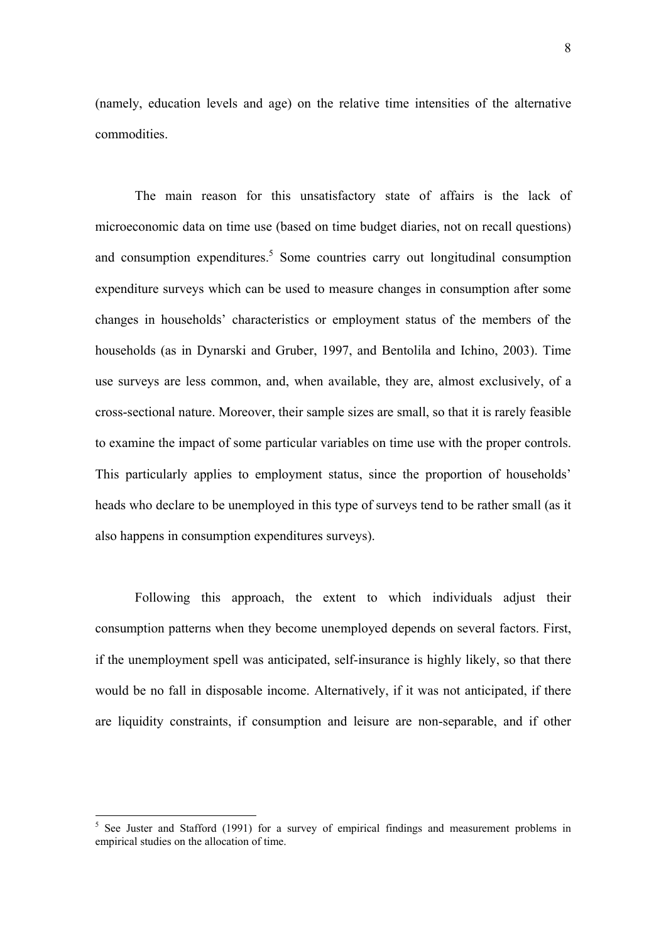(namely, education levels and age) on the relative time intensities of the alternative commodities.

The main reason for this unsatisfactory state of affairs is the lack of microeconomic data on time use (based on time budget diaries, not on recall questions) and consumption expenditures.<sup>5</sup> Some countries carry out longitudinal consumption expenditure surveys which can be used to measure changes in consumption after some changes in households' characteristics or employment status of the members of the households (as in Dynarski and Gruber, 1997, and Bentolila and Ichino, 2003). Time use surveys are less common, and, when available, they are, almost exclusively, of a cross-sectional nature. Moreover, their sample sizes are small, so that it is rarely feasible to examine the impact of some particular variables on time use with the proper controls. This particularly applies to employment status, since the proportion of households' heads who declare to be unemployed in this type of surveys tend to be rather small (as it also happens in consumption expenditures surveys).

 Following this approach, the extent to which individuals adjust their consumption patterns when they become unemployed depends on several factors. First, if the unemployment spell was anticipated, self-insurance is highly likely, so that there would be no fall in disposable income. Alternatively, if it was not anticipated, if there are liquidity constraints, if consumption and leisure are non-separable, and if other

<span id="page-7-0"></span><sup>&</sup>lt;sup>5</sup> See Juster and Stafford (1991) for a survey of empirical findings and measurement problems in empirical studies on the allocation of time.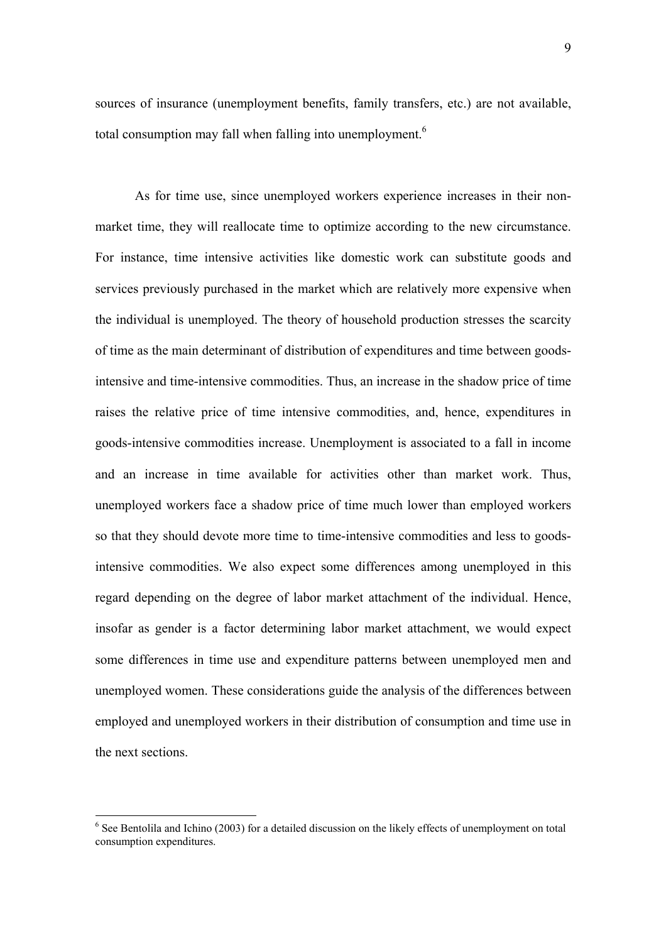sources of insurance (unemployment benefits, family transfers, etc.) are not available, total consumption may fall when falling into unemployment.<sup>6</sup>

As for time use, since unemployed workers experience increases in their nonmarket time, they will reallocate time to optimize according to the new circumstance. For instance, time intensive activities like domestic work can substitute goods and services previously purchased in the market which are relatively more expensive when the individual is unemployed. The theory of household production stresses the scarcity of time as the main determinant of distribution of expenditures and time between goodsintensive and time-intensive commodities. Thus, an increase in the shadow price of time raises the relative price of time intensive commodities, and, hence, expenditures in goods-intensive commodities increase. Unemployment is associated to a fall in income and an increase in time available for activities other than market work. Thus, unemployed workers face a shadow price of time much lower than employed workers so that they should devote more time to time-intensive commodities and less to goodsintensive commodities. We also expect some differences among unemployed in this regard depending on the degree of labor market attachment of the individual. Hence, insofar as gender is a factor determining labor market attachment, we would expect some differences in time use and expenditure patterns between unemployed men and unemployed women. These considerations guide the analysis of the differences between employed and unemployed workers in their distribution of consumption and time use in the next sections.

<span id="page-8-0"></span><sup>&</sup>lt;sup>6</sup> See Bentolila and Ichino (2003) for a detailed discussion on the likely effects of unemployment on total consumption expenditures.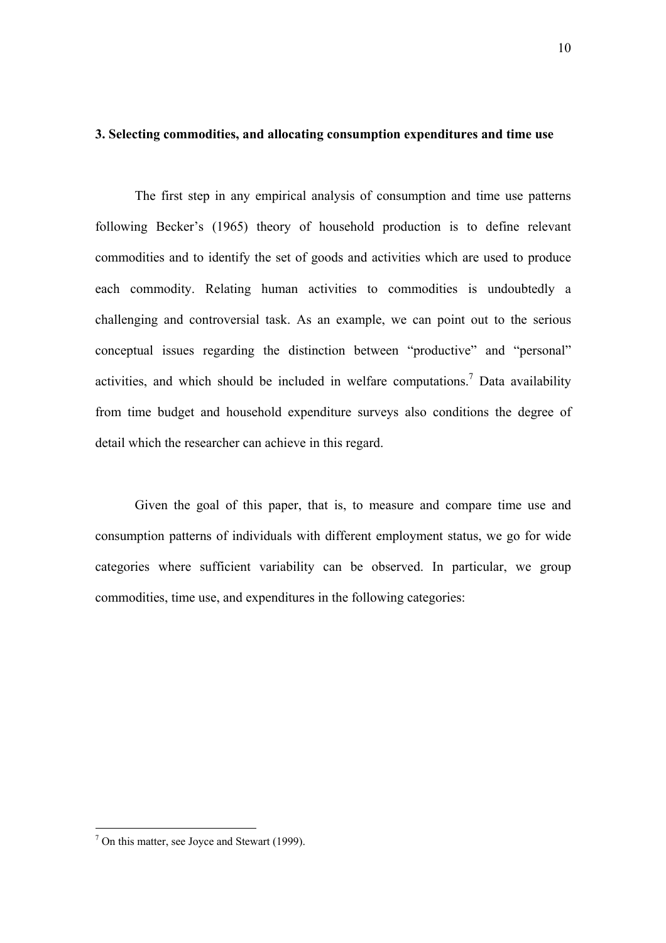## **3. Selecting commodities, and allocating consumption expenditures and time use**

The first step in any empirical analysis of consumption and time use patterns following Becker's (1965) theory of household production is to define relevant commodities and to identify the set of goods and activities which are used to produce each commodity. Relating human activities to commodities is undoubtedly a challenging and controversial task. As an example, we can point out to the serious conceptual issues regarding the distinction between "productive" and "personal" activities, and which should be included in welfare computations.<sup>[7](#page-9-0)</sup> Data availability from time budget and household expenditure surveys also conditions the degree of detail which the researcher can achieve in this regard.

Given the goal of this paper, that is, to measure and compare time use and consumption patterns of individuals with different employment status, we go for wide categories where sufficient variability can be observed. In particular, we group commodities, time use, and expenditures in the following categories:

<span id="page-9-0"></span> $<sup>7</sup>$  On this matter, see Joyce and Stewart (1999).</sup>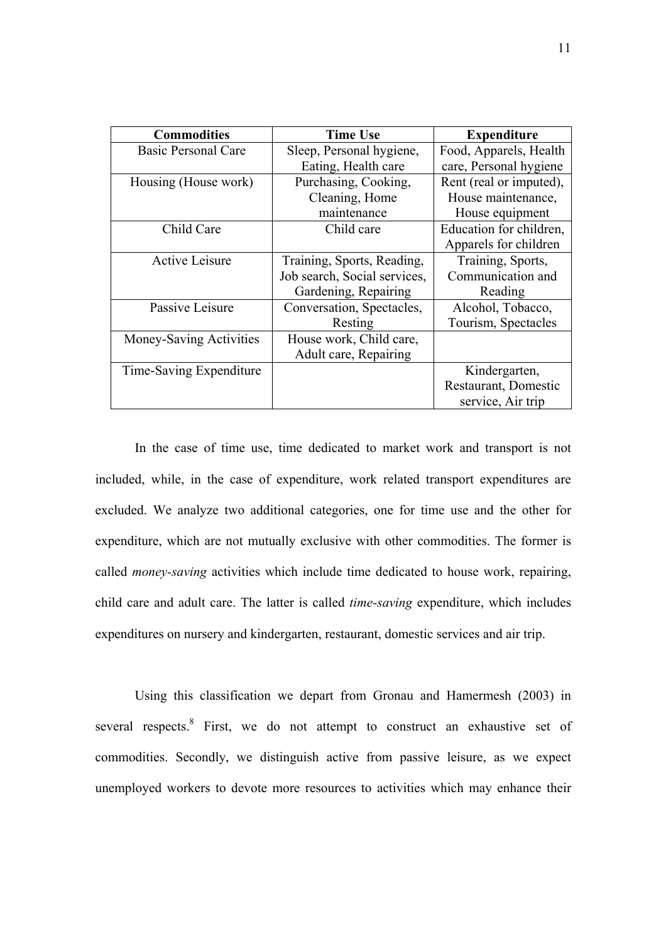| <b>Commodities</b>      | <b>Time Use</b>              | <b>Expenditure</b>      |
|-------------------------|------------------------------|-------------------------|
| Basic Personal Care     | Sleep, Personal hygiene,     | Food, Apparels, Health  |
|                         | Eating, Health care          | care, Personal hygiene  |
| Housing (House work)    | Purchasing, Cooking,         | Rent (real or imputed), |
|                         | Cleaning, Home               | House maintenance,      |
|                         | maintenance                  | House equipment         |
| Child Care              | Child care                   | Education for children, |
|                         |                              | Apparels for children   |
| <b>Active Leisure</b>   | Training, Sports, Reading,   | Training, Sports,       |
|                         | Job search, Social services, | Communication and       |
|                         | Gardening, Repairing         | Reading                 |
| Passive Leisure         | Conversation, Spectacles,    | Alcohol, Tobacco,       |
|                         | Resting                      | Tourism, Spectacles     |
| Money-Saving Activities | House work, Child care,      |                         |
|                         | Adult care, Repairing        |                         |
| Time-Saving Expenditure |                              | Kindergarten,           |
|                         |                              | Restaurant, Domestic    |
|                         |                              | service, Air trip       |

In the case of time use, time dedicated to market work and transport is not included, while, in the case of expenditure, work related transport expenditures are excluded. We analyze two additional categories, one for time use and the other for expenditure, which are not mutually exclusive with other commodities. The former is called *money-saving* activities which include time dedicated to house work, repairing, child care and adult care. The latter is called *time-saving* expenditure, which includes expenditures on nursery and kindergarten, restaurant, domestic services and air trip.

<span id="page-10-0"></span>Using this classification we depart from Gronau and Hamermesh (2003) in several respects. First, we do not attempt to construct an exhaustive set of commodities. Secondly, we distinguish active from passive leisure, as we expect unemployed workers to devote more resources to activities which may enhance their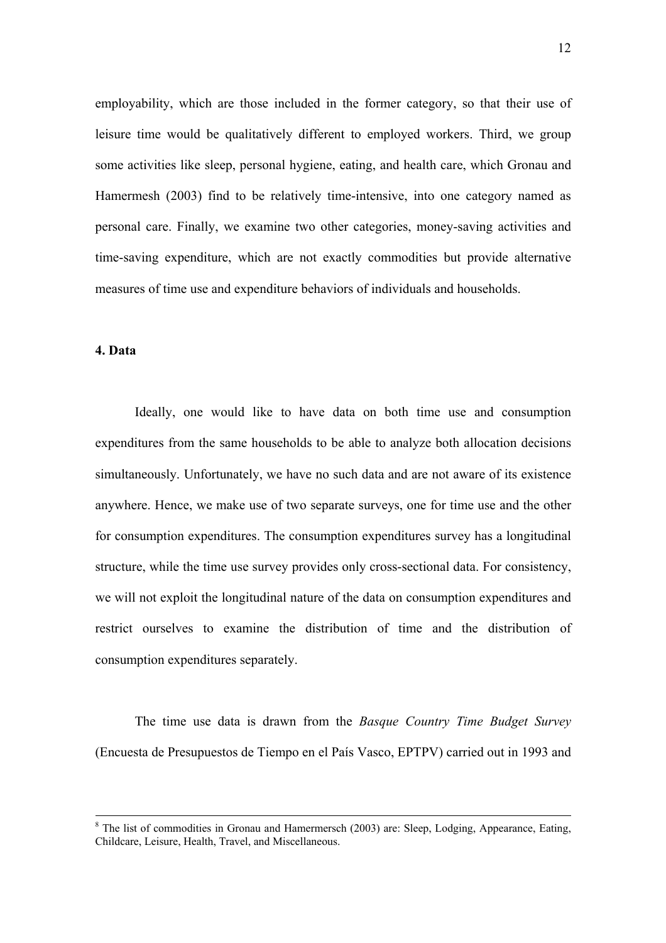employability, which are those included in the former category, so that their use of leisure time would be qualitatively different to employed workers. Third, we group some activities like sleep, personal hygiene, eating, and health care, which Gronau and Hamermesh (2003) find to be relatively time-intensive, into one category named as personal care. Finally, we examine two other categories, money-saving activities and time-saving expenditure, which are not exactly commodities but provide alternative measures of time use and expenditure behaviors of individuals and households.

### **4. Data**

 Ideally, one would like to have data on both time use and consumption expenditures from the same households to be able to analyze both allocation decisions simultaneously. Unfortunately, we have no such data and are not aware of its existence anywhere. Hence, we make use of two separate surveys, one for time use and the other for consumption expenditures. The consumption expenditures survey has a longitudinal structure, while the time use survey provides only cross-sectional data. For consistency, we will not exploit the longitudinal nature of the data on consumption expenditures and restrict ourselves to examine the distribution of time and the distribution of consumption expenditures separately.

The time use data is drawn from the *Basque Country Time Budget Survey* (Encuesta de Presupuestos de Tiempo en el País Vasco, EPTPV) carried out in 1993 and

 $\frac{1}{8}$  $8$  The list of commodities in Gronau and Hamermersch (2003) are: Sleep, Lodging, Appearance, Eating, Childcare, Leisure, Health, Travel, and Miscellaneous.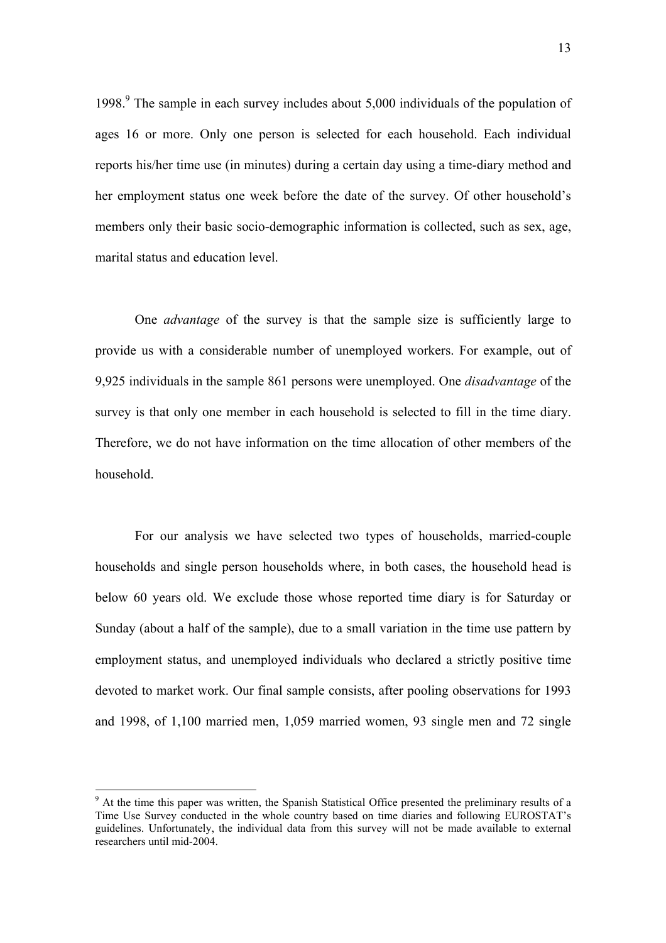1[9](#page-12-0)98.<sup>9</sup> The sample in each survey includes about 5,000 individuals of the population of ages 16 or more. Only one person is selected for each household. Each individual reports his/her time use (in minutes) during a certain day using a time-diary method and her employment status one week before the date of the survey. Of other household's members only their basic socio-demographic information is collected, such as sex, age, marital status and education level.

One *advantage* of the survey is that the sample size is sufficiently large to provide us with a considerable number of unemployed workers. For example, out of 9,925 individuals in the sample 861 persons were unemployed. One *disadvantage* of the survey is that only one member in each household is selected to fill in the time diary. Therefore, we do not have information on the time allocation of other members of the household.

For our analysis we have selected two types of households, married-couple households and single person households where, in both cases, the household head is below 60 years old. We exclude those whose reported time diary is for Saturday or Sunday (about a half of the sample), due to a small variation in the time use pattern by employment status, and unemployed individuals who declared a strictly positive time devoted to market work. Our final sample consists, after pooling observations for 1993 and 1998, of 1,100 married men, 1,059 married women, 93 single men and 72 single

<span id="page-12-0"></span><sup>&</sup>lt;sup>9</sup> At the time this paper was written, the Spanish Statistical Office presented the preliminary results of a Time Use Survey conducted in the whole country based on time diaries and following EUROSTAT's guidelines. Unfortunately, the individual data from this survey will not be made available to external researchers until mid-2004.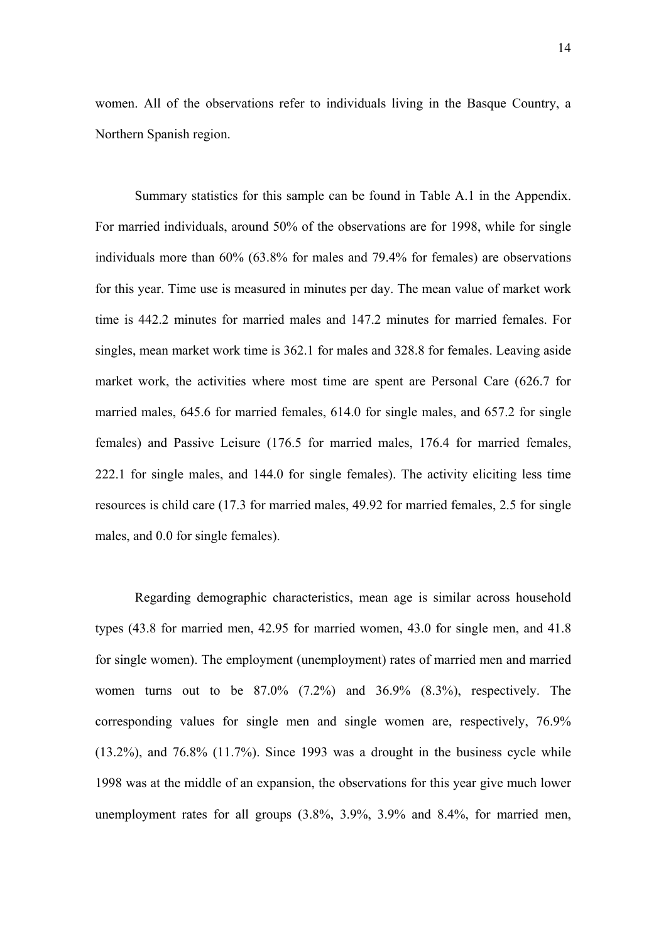women. All of the observations refer to individuals living in the Basque Country, a Northern Spanish region.

Summary statistics for this sample can be found in Table A.1 in the Appendix. For married individuals, around 50% of the observations are for 1998, while for single individuals more than 60% (63.8% for males and 79.4% for females) are observations for this year. Time use is measured in minutes per day. The mean value of market work time is 442.2 minutes for married males and 147.2 minutes for married females. For singles, mean market work time is 362.1 for males and 328.8 for females. Leaving aside market work, the activities where most time are spent are Personal Care (626.7 for married males, 645.6 for married females, 614.0 for single males, and 657.2 for single females) and Passive Leisure (176.5 for married males, 176.4 for married females, 222.1 for single males, and 144.0 for single females). The activity eliciting less time resources is child care (17.3 for married males, 49.92 for married females, 2.5 for single males, and 0.0 for single females).

Regarding demographic characteristics, mean age is similar across household types (43.8 for married men, 42.95 for married women, 43.0 for single men, and 41.8 for single women). The employment (unemployment) rates of married men and married women turns out to be 87.0% (7.2%) and 36.9% (8.3%), respectively. The corresponding values for single men and single women are, respectively, 76.9% (13.2%), and 76.8% (11.7%). Since 1993 was a drought in the business cycle while 1998 was at the middle of an expansion, the observations for this year give much lower unemployment rates for all groups (3.8%, 3.9%, 3.9% and 8.4%, for married men,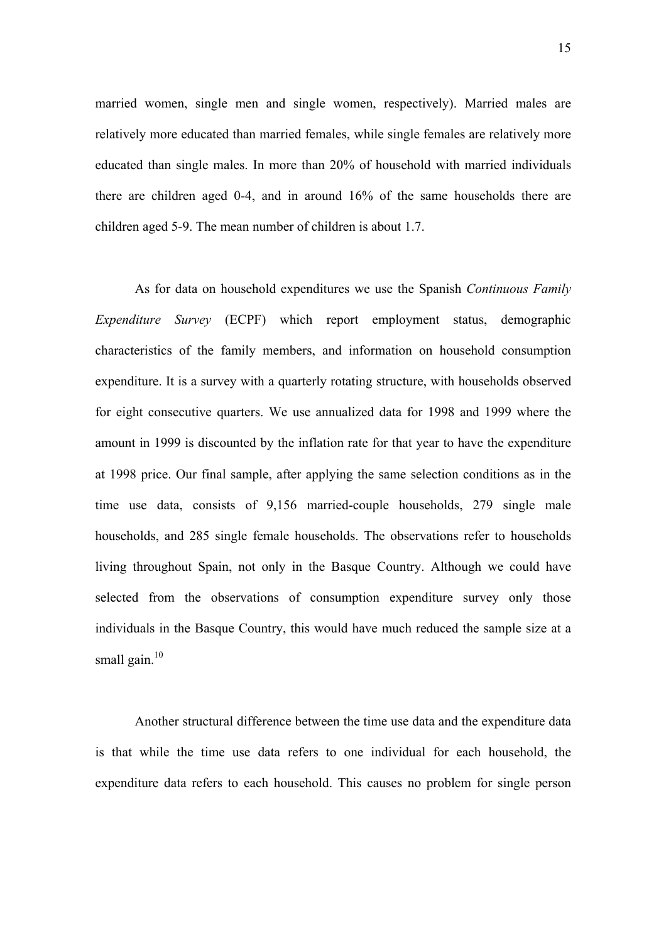married women, single men and single women, respectively). Married males are relatively more educated than married females, while single females are relatively more educated than single males. In more than 20% of household with married individuals there are children aged 0-4, and in around 16% of the same households there are children aged 5-9. The mean number of children is about 1.7.

As for data on household expenditures we use the Spanish *Continuous Family Expenditure Survey* (ECPF) which report employment status, demographic characteristics of the family members, and information on household consumption expenditure. It is a survey with a quarterly rotating structure, with households observed for eight consecutive quarters. We use annualized data for 1998 and 1999 where the amount in 1999 is discounted by the inflation rate for that year to have the expenditure at 1998 price. Our final sample, after applying the same selection conditions as in the time use data, consists of 9,156 married-couple households, 279 single male households, and 285 single female households. The observations refer to households living throughout Spain, not only in the Basque Country. Although we could have selected from the observations of consumption expenditure survey only those individuals in the Basque Country, this would have much reduced the sample size at a small gain. $10$ 

<span id="page-14-0"></span>Another structural difference between the time use data and the expenditure data is that while the time use data refers to one individual for each household, the expenditure data refers to each household. This causes no problem for single person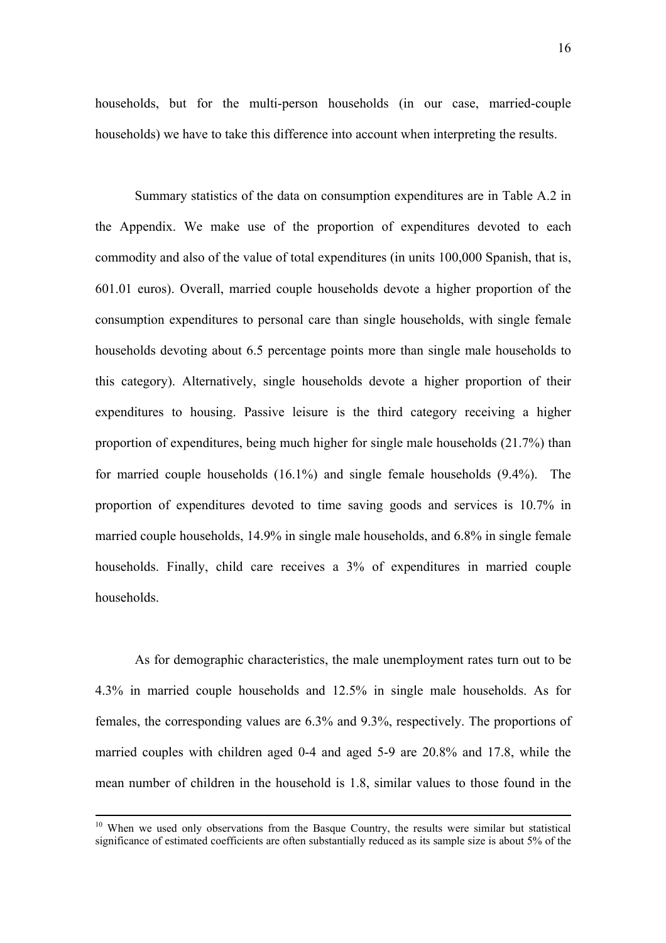households, but for the multi-person households (in our case, married-couple households) we have to take this difference into account when interpreting the results.

Summary statistics of the data on consumption expenditures are in Table A.2 in the Appendix. We make use of the proportion of expenditures devoted to each commodity and also of the value of total expenditures (in units 100,000 Spanish, that is, 601.01 euros). Overall, married couple households devote a higher proportion of the consumption expenditures to personal care than single households, with single female households devoting about 6.5 percentage points more than single male households to this category). Alternatively, single households devote a higher proportion of their expenditures to housing. Passive leisure is the third category receiving a higher proportion of expenditures, being much higher for single male households (21.7%) than for married couple households (16.1%) and single female households (9.4%). The proportion of expenditures devoted to time saving goods and services is 10.7% in married couple households, 14.9% in single male households, and 6.8% in single female households. Finally, child care receives a  $3\%$  of expenditures in married couple households.

As for demographic characteristics, the male unemployment rates turn out to be 4.3% in married couple households and 12.5% in single male households. As for females, the corresponding values are 6.3% and 9.3%, respectively. The proportions of married couples with children aged 0-4 and aged 5-9 are 20.8% and 17.8, while the mean number of children in the household is 1.8, similar values to those found in the

 $10$  When we used only observations from the Basque Country, the results were similar but statistical significance of estimated coefficients are often substantially reduced as its sample size is about 5% of the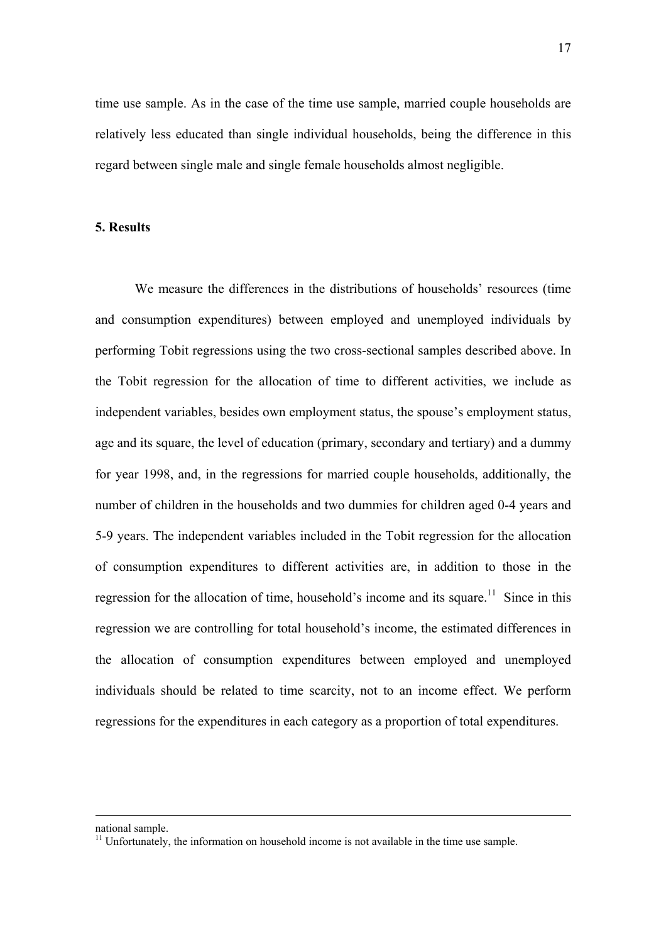time use sample. As in the case of the time use sample, married couple households are relatively less educated than single individual households, being the difference in this regard between single male and single female households almost negligible.

## **5. Results**

We measure the differences in the distributions of households' resources (time and consumption expenditures) between employed and unemployed individuals by performing Tobit regressions using the two cross-sectional samples described above. In the Tobit regression for the allocation of time to different activities, we include as independent variables, besides own employment status, the spouse's employment status, age and its square, the level of education (primary, secondary and tertiary) and a dummy for year 1998, and, in the regressions for married couple households, additionally, the number of children in the households and two dummies for children aged 0-4 years and 5-9 years. The independent variables included in the Tobit regression for the allocation of consumption expenditures to different activities are, in addition to those in the regression for the allocation of time, household's income and its square.<sup>11</sup> Since in this regression we are controlling for total household's income, the estimated differences in the allocation of consumption expenditures between employed and unemployed individuals should be related to time scarcity, not to an income effect. We perform regressions for the expenditures in each category as a proportion of total expenditures.

national sample.

<span id="page-16-0"></span> $11$  Unfortunately, the information on household income is not available in the time use sample.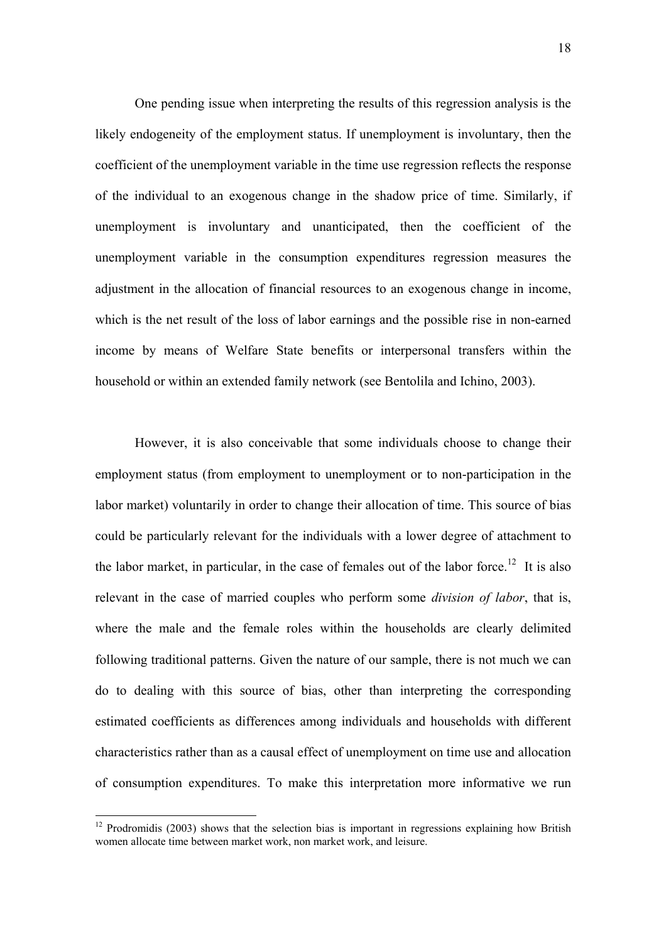One pending issue when interpreting the results of this regression analysis is the likely endogeneity of the employment status. If unemployment is involuntary, then the coefficient of the unemployment variable in the time use regression reflects the response of the individual to an exogenous change in the shadow price of time. Similarly, if unemployment is involuntary and unanticipated, then the coefficient of the unemployment variable in the consumption expenditures regression measures the adjustment in the allocation of financial resources to an exogenous change in income, which is the net result of the loss of labor earnings and the possible rise in non-earned income by means of Welfare State benefits or interpersonal transfers within the household or within an extended family network (see Bentolila and Ichino, 2003).

However, it is also conceivable that some individuals choose to change their employment status (from employment to unemployment or to non-participation in the labor market) voluntarily in order to change their allocation of time. This source of bias could be particularly relevant for the individuals with a lower degree of attachment to the labor market, in particular, in the case of females out of the labor force.<sup>12</sup> It is also relevant in the case of married couples who perform some *division of labor*, that is, where the male and the female roles within the households are clearly delimited following traditional patterns. Given the nature of our sample, there is not much we can do to dealing with this source of bias, other than interpreting the corresponding estimated coefficients as differences among individuals and households with different characteristics rather than as a causal effect of unemployment on time use and allocation of consumption expenditures. To make this interpretation more informative we run

<span id="page-17-0"></span> $12$  Prodromidis (2003) shows that the selection bias is important in regressions explaining how British women allocate time between market work, non market work, and leisure.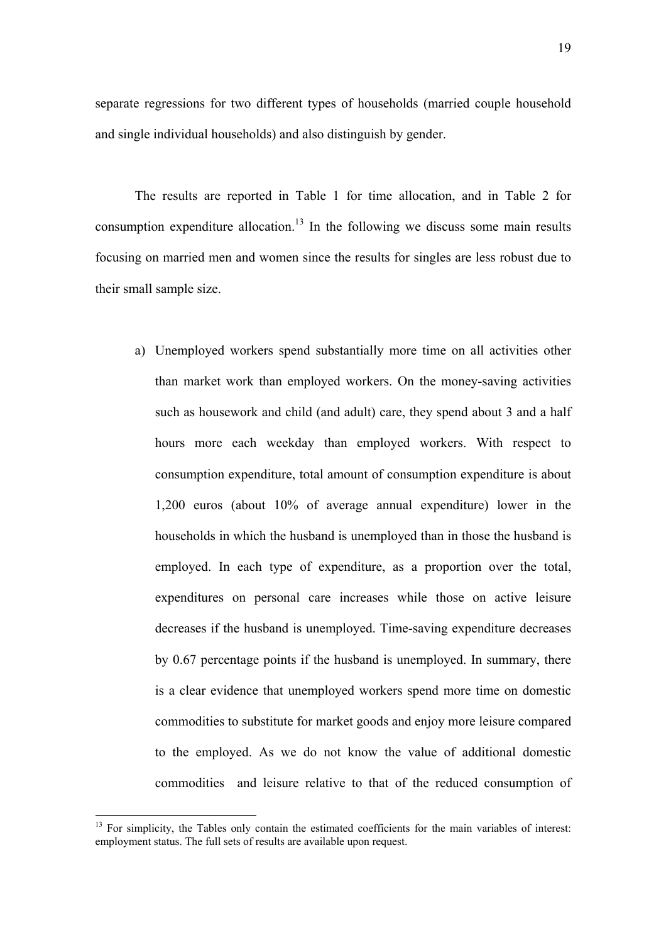separate regressions for two different types of households (married couple household and single individual households) and also distinguish by gender.

The results are reported in Table 1 for time allocation, and in Table 2 for consumption expenditure allocation.<sup>13</sup> In the following we discuss some main results focusing on married men and women since the results for singles are less robust due to their small sample size.

a) Unemployed workers spend substantially more time on all activities other than market work than employed workers. On the money-saving activities such as housework and child (and adult) care, they spend about 3 and a half hours more each weekday than employed workers. With respect to consumption expenditure, total amount of consumption expenditure is about 1,200 euros (about 10% of average annual expenditure) lower in the households in which the husband is unemployed than in those the husband is employed. In each type of expenditure, as a proportion over the total, expenditures on personal care increases while those on active leisure decreases if the husband is unemployed. Time-saving expenditure decreases by 0.67 percentage points if the husband is unemployed. In summary, there is a clear evidence that unemployed workers spend more time on domestic commodities to substitute for market goods and enjoy more leisure compared to the employed. As we do not know the value of additional domestic commodities and leisure relative to that of the reduced consumption of

<span id="page-18-0"></span> $13$  For simplicity, the Tables only contain the estimated coefficients for the main variables of interest: employment status. The full sets of results are available upon request.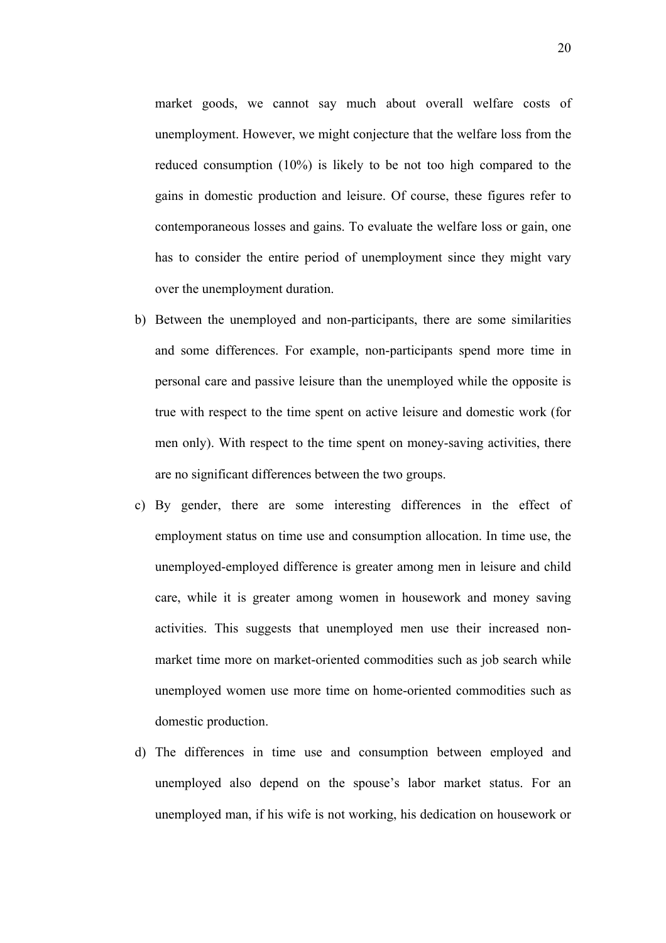market goods, we cannot say much about overall welfare costs of unemployment. However, we might conjecture that the welfare loss from the reduced consumption (10%) is likely to be not too high compared to the gains in domestic production and leisure. Of course, these figures refer to contemporaneous losses and gains. To evaluate the welfare loss or gain, one has to consider the entire period of unemployment since they might vary over the unemployment duration.

- b) Between the unemployed and non-participants, there are some similarities and some differences. For example, non-participants spend more time in personal care and passive leisure than the unemployed while the opposite is true with respect to the time spent on active leisure and domestic work (for men only). With respect to the time spent on money-saving activities, there are no significant differences between the two groups.
- c) By gender, there are some interesting differences in the effect of employment status on time use and consumption allocation. In time use, the unemployed-employed difference is greater among men in leisure and child care, while it is greater among women in housework and money saving activities. This suggests that unemployed men use their increased nonmarket time more on market-oriented commodities such as job search while unemployed women use more time on home-oriented commodities such as domestic production.
- d) The differences in time use and consumption between employed and unemployed also depend on the spouse's labor market status. For an unemployed man, if his wife is not working, his dedication on housework or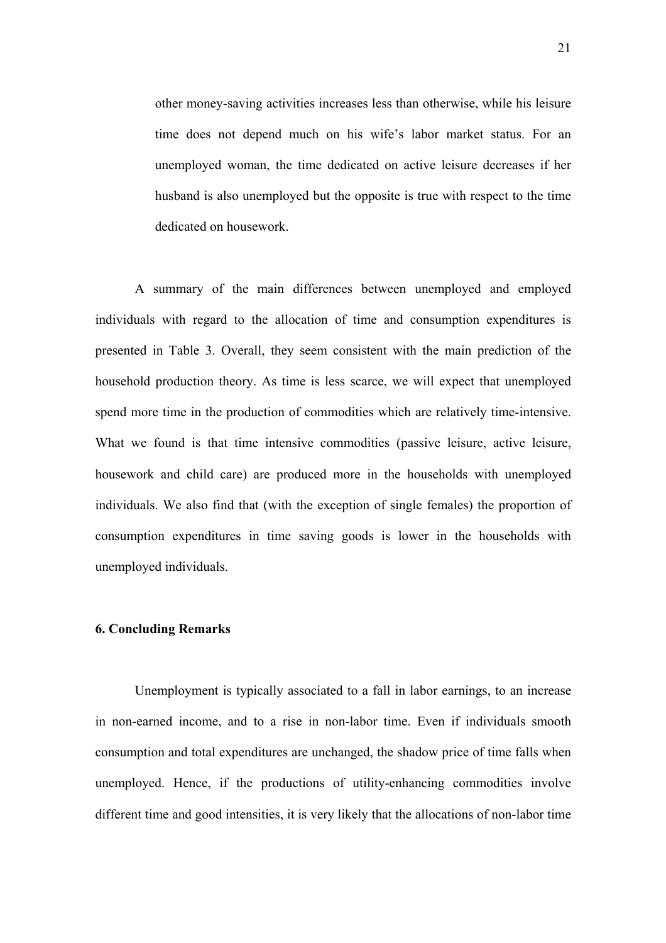other money-saving activities increases less than otherwise, while his leisure time does not depend much on his wife's labor market status. For an unemployed woman, the time dedicated on active leisure decreases if her husband is also unemployed but the opposite is true with respect to the time dedicated on housework.

A summary of the main differences between unemployed and employed individuals with regard to the allocation of time and consumption expenditures is presented in Table 3. Overall, they seem consistent with the main prediction of the household production theory. As time is less scarce, we will expect that unemployed spend more time in the production of commodities which are relatively time-intensive. What we found is that time intensive commodities (passive leisure, active leisure, housework and child care) are produced more in the households with unemployed individuals. We also find that (with the exception of single females) the proportion of consumption expenditures in time saving goods is lower in the households with unemployed individuals.

#### **6. Concluding Remarks**

 Unemployment is typically associated to a fall in labor earnings, to an increase in non-earned income, and to a rise in non-labor time. Even if individuals smooth consumption and total expenditures are unchanged, the shadow price of time falls when unemployed. Hence, if the productions of utility-enhancing commodities involve different time and good intensities, it is very likely that the allocations of non-labor time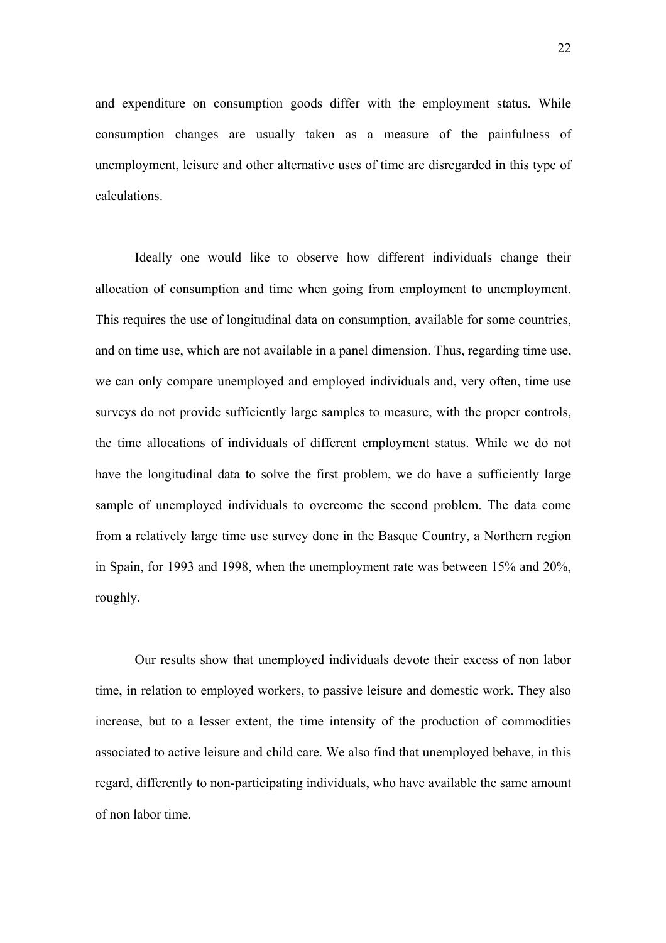and expenditure on consumption goods differ with the employment status. While consumption changes are usually taken as a measure of the painfulness of unemployment, leisure and other alternative uses of time are disregarded in this type of calculations.

 Ideally one would like to observe how different individuals change their allocation of consumption and time when going from employment to unemployment. This requires the use of longitudinal data on consumption, available for some countries, and on time use, which are not available in a panel dimension. Thus, regarding time use, we can only compare unemployed and employed individuals and, very often, time use surveys do not provide sufficiently large samples to measure, with the proper controls, the time allocations of individuals of different employment status. While we do not have the longitudinal data to solve the first problem, we do have a sufficiently large sample of unemployed individuals to overcome the second problem. The data come from a relatively large time use survey done in the Basque Country, a Northern region in Spain, for 1993 and 1998, when the unemployment rate was between 15% and 20%, roughly.

 Our results show that unemployed individuals devote their excess of non labor time, in relation to employed workers, to passive leisure and domestic work. They also increase, but to a lesser extent, the time intensity of the production of commodities associated to active leisure and child care. We also find that unemployed behave, in this regard, differently to non-participating individuals, who have available the same amount of non labor time.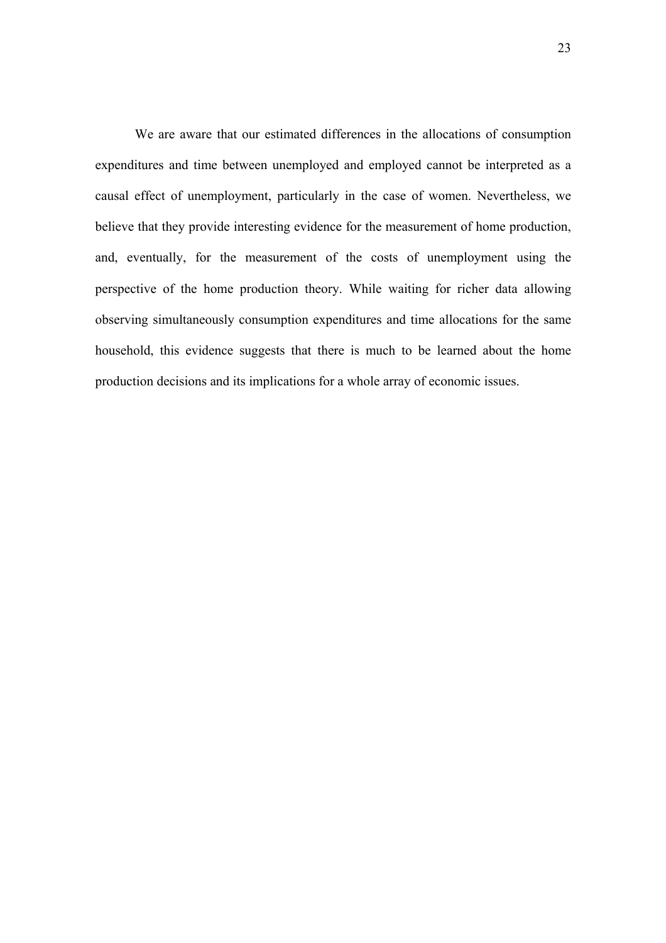We are aware that our estimated differences in the allocations of consumption expenditures and time between unemployed and employed cannot be interpreted as a causal effect of unemployment, particularly in the case of women. Nevertheless, we believe that they provide interesting evidence for the measurement of home production, and, eventually, for the measurement of the costs of unemployment using the perspective of the home production theory. While waiting for richer data allowing observing simultaneously consumption expenditures and time allocations for the same household, this evidence suggests that there is much to be learned about the home production decisions and its implications for a whole array of economic issues.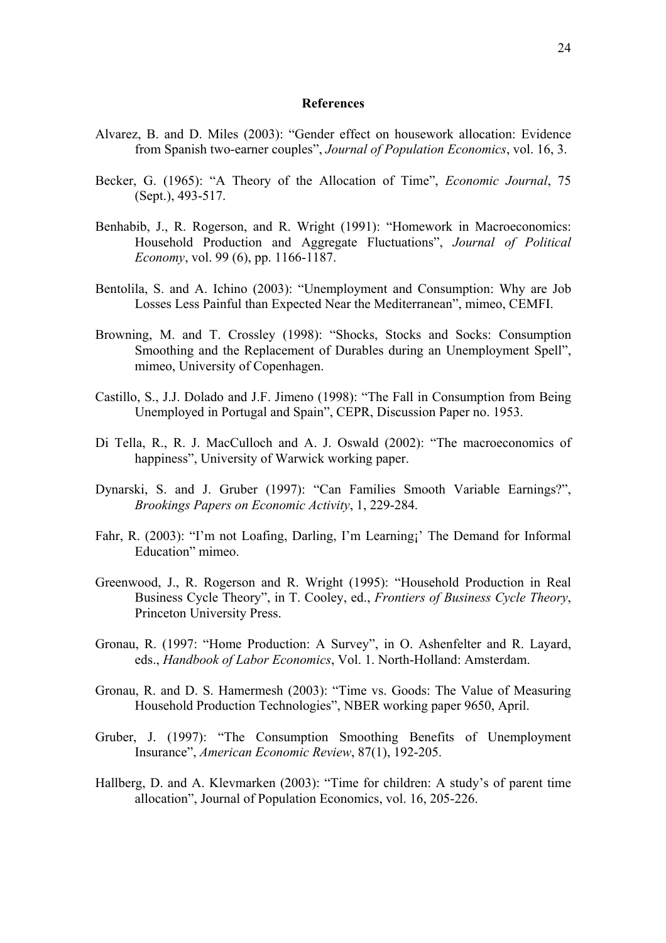#### **References**

- Alvarez, B. and D. Miles (2003): "Gender effect on housework allocation: Evidence from Spanish two-earner couples", *Journal of Population Economics*, vol. 16, 3.
- Becker, G. (1965): "A Theory of the Allocation of Time", *Economic Journal*, 75 (Sept.), 493-517.
- Benhabib, J., R. Rogerson, and R. Wright (1991): "Homework in Macroeconomics: Household Production and Aggregate Fluctuations", *Journal of Political Economy*, vol. 99 (6), pp. 1166-1187.
- Bentolila, S. and A. Ichino (2003): "Unemployment and Consumption: Why are Job Losses Less Painful than Expected Near the Mediterranean", mimeo, CEMFI.
- Browning, M. and T. Crossley (1998): "Shocks, Stocks and Socks: Consumption Smoothing and the Replacement of Durables during an Unemployment Spell", mimeo, University of Copenhagen.
- Castillo, S., J.J. Dolado and J.F. Jimeno (1998): "The Fall in Consumption from Being Unemployed in Portugal and Spain", CEPR, Discussion Paper no. 1953.
- Di Tella, R., R. J. MacCulloch and A. J. Oswald (2002): "The macroeconomics of happiness", University of Warwick working paper.
- Dynarski, S. and J. Gruber (1997): "Can Families Smooth Variable Earnings?", *Brookings Papers on Economic Activity*, 1, 229-284.
- Fahr, R. (2003): "I'm not Loafing, Darling, I'm Learning;' The Demand for Informal Education" mimeo.
- Greenwood, J., R. Rogerson and R. Wright (1995): "Household Production in Real Business Cycle Theory", in T. Cooley, ed., *Frontiers of Business Cycle Theory*, Princeton University Press.
- Gronau, R. (1997: "Home Production: A Survey", in O. Ashenfelter and R. Layard, eds., *Handbook of Labor Economics*, Vol. 1. North-Holland: Amsterdam.
- Gronau, R. and D. S. Hamermesh (2003): "Time vs. Goods: The Value of Measuring Household Production Technologies", NBER working paper 9650, April.
- Gruber, J. (1997): "The Consumption Smoothing Benefits of Unemployment Insurance", *American Economic Review*, 87(1), 192-205.
- Hallberg, D. and A. Klevmarken (2003): "Time for children: A study's of parent time allocation", Journal of Population Economics, vol. 16, 205-226.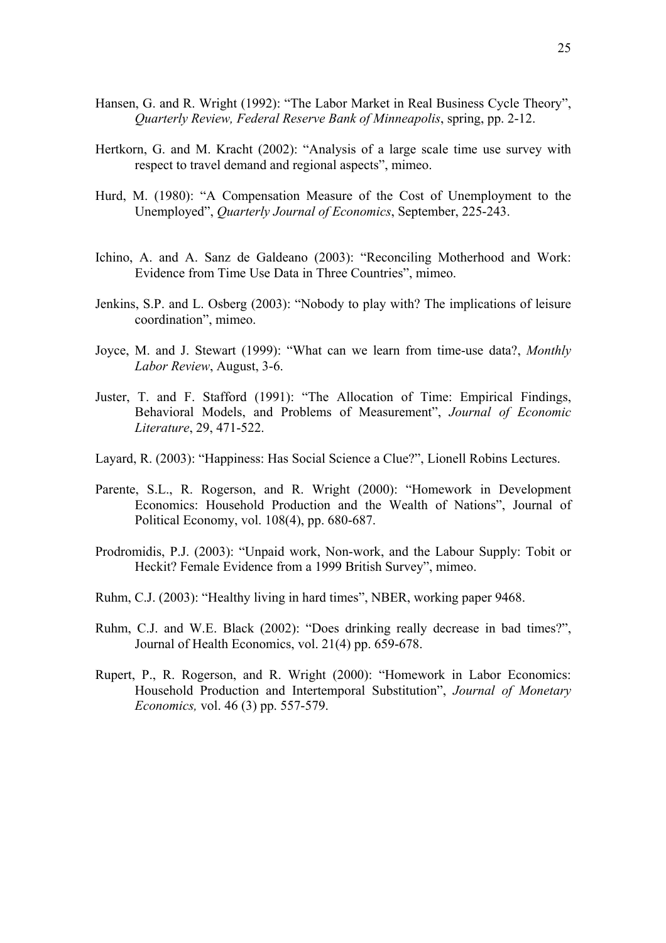- Hansen, G. and R. Wright (1992): "The Labor Market in Real Business Cycle Theory", *Quarterly Review, Federal Reserve Bank of Minneapolis*, spring, pp. 2-12.
- Hertkorn, G. and M. Kracht (2002): "Analysis of a large scale time use survey with respect to travel demand and regional aspects", mimeo.
- Hurd, M. (1980): "A Compensation Measure of the Cost of Unemployment to the Unemployed", *Quarterly Journal of Economics*, September, 225-243.
- Ichino, A. and A. Sanz de Galdeano (2003): "Reconciling Motherhood and Work: Evidence from Time Use Data in Three Countries", mimeo.
- Jenkins, S.P. and L. Osberg (2003): "Nobody to play with? The implications of leisure coordination", mimeo.
- Joyce, M. and J. Stewart (1999): "What can we learn from time-use data?, *Monthly Labor Review*, August, 3-6.
- Juster, T. and F. Stafford (1991): "The Allocation of Time: Empirical Findings, Behavioral Models, and Problems of Measurement", *Journal of Economic Literature*, 29, 471-522.
- Layard, R. (2003): "Happiness: Has Social Science a Clue?", Lionell Robins Lectures.
- Parente, S.L., R. Rogerson, and R. Wright (2000): "Homework in Development Economics: Household Production and the Wealth of Nations", Journal of Political Economy, vol. 108(4), pp. 680-687.
- Prodromidis, P.J. (2003): "Unpaid work, Non-work, and the Labour Supply: Tobit or Heckit? Female Evidence from a 1999 British Survey", mimeo.
- Ruhm, C.J. (2003): "Healthy living in hard times", NBER, working paper 9468.
- Ruhm, C.J. and W.E. Black (2002): "Does drinking really decrease in bad times?", Journal of Health Economics, vol. 21(4) pp. 659-678.
- Rupert, P., R. Rogerson, and R. Wright (2000): "Homework in Labor Economics: Household Production and Intertemporal Substitution", *Journal of Monetary Economics,* vol. 46 (3) pp. 557-579.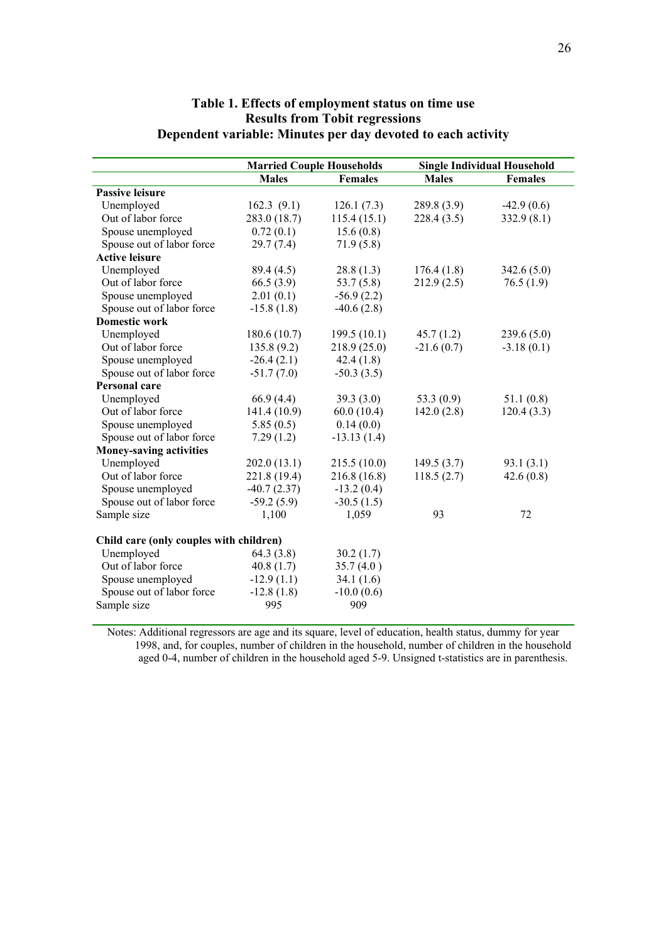|                                         | <b>Married Couple Households</b> |                | <b>Single Individual Household</b> |                |  |
|-----------------------------------------|----------------------------------|----------------|------------------------------------|----------------|--|
|                                         | <b>Males</b>                     | <b>Females</b> | <b>Males</b>                       | <b>Females</b> |  |
| <b>Passive leisure</b>                  |                                  |                |                                    |                |  |
| Unemployed                              | 162.3(9.1)                       | 126.1(7.3)     | 289.8 (3.9)                        | $-42.9(0.6)$   |  |
| Out of labor force                      | 283.0 (18.7)                     | 115.4(15.1)    | 228.4(3.5)                         | 332.9(8.1)     |  |
| Spouse unemployed                       | 0.72(0.1)                        | 15.6(0.8)      |                                    |                |  |
| Spouse out of labor force               | 29.7(7.4)                        | 71.9(5.8)      |                                    |                |  |
| <b>Active leisure</b>                   |                                  |                |                                    |                |  |
| Unemployed                              | 89.4 (4.5)                       | 28.8(1.3)      | 176.4(1.8)                         | 342.6(5.0)     |  |
| Out of labor force                      | 66.5(3.9)                        | 53.7(5.8)      | 212.9(2.5)                         | 76.5(1.9)      |  |
| Spouse unemployed                       | 2.01(0.1)                        | $-56.9(2.2)$   |                                    |                |  |
| Spouse out of labor force               | $-15.8(1.8)$                     | $-40.6(2.8)$   |                                    |                |  |
| <b>Domestic work</b>                    |                                  |                |                                    |                |  |
| Unemployed                              | 180.6 (10.7)                     | 199.5(10.1)    | 45.7(1.2)                          | 239.6(5.0)     |  |
| Out of labor force                      | 135.8(9.2)                       | 218.9(25.0)    | $-21.6(0.7)$                       | $-3.18(0.1)$   |  |
| Spouse unemployed                       | $-26.4(2.1)$                     | 42.4(1.8)      |                                    |                |  |
| Spouse out of labor force               | $-51.7(7.0)$                     | $-50.3(3.5)$   |                                    |                |  |
| <b>Personal care</b>                    |                                  |                |                                    |                |  |
| Unemployed                              | 66.9(4.4)                        | 39.3(3.0)      | 53.3 $(0.9)$                       | 51.1(0.8)      |  |
| Out of labor force                      | 141.4 (10.9)                     | 60.0(10.4)     | 142.0(2.8)                         | 120.4(3.3)     |  |
| Spouse unemployed                       | 5.85(0.5)                        | 0.14(0.0)      |                                    |                |  |
| Spouse out of labor force               | 7.29(1.2)                        | $-13.13(1.4)$  |                                    |                |  |
| <b>Money-saving activities</b>          |                                  |                |                                    |                |  |
| Unemployed                              | 202.0(13.1)                      | 215.5(10.0)    | 149.5(3.7)                         | 93.1(3.1)      |  |
| Out of labor force                      | 221.8 (19.4)                     | 216.8(16.8)    | 118.5(2.7)                         | 42.6(0.8)      |  |
| Spouse unemployed                       | $-40.7(2.37)$                    | $-13.2(0.4)$   |                                    |                |  |
| Spouse out of labor force               | $-59.2(5.9)$                     | $-30.5(1.5)$   |                                    |                |  |
| Sample size                             | 1,100                            | 1,059          | 93                                 | 72             |  |
| Child care (only couples with children) |                                  |                |                                    |                |  |
| Unemployed                              | 64.3 (3.8)                       | 30.2(1.7)      |                                    |                |  |
| Out of labor force                      | 40.8(1.7)                        | 35.7(4.0)      |                                    |                |  |
| Spouse unemployed                       | $-12.9(1.1)$                     | 34.1(1.6)      |                                    |                |  |
| Spouse out of labor force               | $-12.8(1.8)$                     | $-10.0(0.6)$   |                                    |                |  |
| Sample size                             | 995                              | 909            |                                    |                |  |

## **Table 1. Effects of employment status on time use Results from Tobit regressions Dependent variable: Minutes per day devoted to each activity**

Notes: Additional regressors are age and its square, level of education, health status, dummy for year 1998, and, for couples, number of children in the household, number of children in the household aged 0-4, number of children in the household aged 5-9. Unsigned t-statistics are in parenthesis.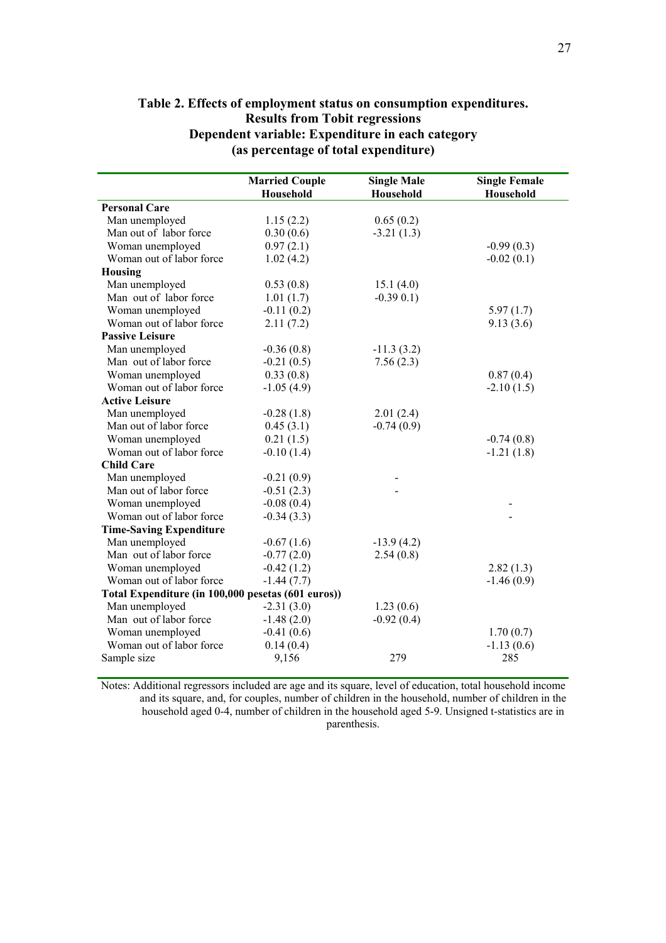|                                                    | <b>Married Couple</b> | <b>Single Male</b> | <b>Single Female</b> |
|----------------------------------------------------|-----------------------|--------------------|----------------------|
|                                                    | Household             | Household          | Household            |
| <b>Personal Care</b>                               |                       |                    |                      |
| Man unemployed                                     | 1.15(2.2)             | 0.65(0.2)          |                      |
| Man out of labor force                             | 0.30(0.6)             | $-3.21(1.3)$       |                      |
| Woman unemployed                                   | 0.97(2.1)             |                    | $-0.99(0.3)$         |
| Woman out of labor force                           | 1.02(4.2)             |                    | $-0.02(0.1)$         |
| Housing                                            |                       |                    |                      |
| Man unemployed                                     | 0.53(0.8)             | 15.1(4.0)          |                      |
| Man out of labor force                             | 1.01(1.7)             | $-0.39 0.1$ )      |                      |
| Woman unemployed                                   | $-0.11(0.2)$          |                    | 5.97(1.7)            |
| Woman out of labor force                           | 2.11(7.2)             |                    | 9.13(3.6)            |
| <b>Passive Leisure</b>                             |                       |                    |                      |
| Man unemployed                                     | $-0.36(0.8)$          | $-11.3(3.2)$       |                      |
| Man out of labor force                             | $-0.21(0.5)$          | 7.56(2.3)          |                      |
| Woman unemployed                                   | 0.33(0.8)             |                    | 0.87(0.4)            |
| Woman out of labor force                           | $-1.05(4.9)$          |                    | $-2.10(1.5)$         |
| <b>Active Leisure</b>                              |                       |                    |                      |
| Man unemployed                                     | $-0.28(1.8)$          | 2.01(2.4)          |                      |
| Man out of labor force                             | 0.45(3.1)             | $-0.74(0.9)$       |                      |
| Woman unemployed                                   | 0.21(1.5)             |                    | $-0.74(0.8)$         |
| Woman out of labor force                           | $-0.10(1.4)$          |                    | $-1.21(1.8)$         |
| <b>Child Care</b>                                  |                       |                    |                      |
| Man unemployed                                     | $-0.21(0.9)$          |                    |                      |
| Man out of labor force                             | $-0.51(2.3)$          |                    |                      |
| Woman unemployed                                   | $-0.08(0.4)$          |                    |                      |
| Woman out of labor force                           | $-0.34(3.3)$          |                    |                      |
| <b>Time-Saving Expenditure</b>                     |                       |                    |                      |
| Man unemployed                                     | $-0.67(1.6)$          | $-13.9(4.2)$       |                      |
| Man out of labor force                             | $-0.77(2.0)$          | 2.54(0.8)          |                      |
| Woman unemployed                                   | $-0.42(1.2)$          |                    | 2.82(1.3)            |
| Woman out of labor force                           | $-1.44(7.7)$          |                    | $-1.46(0.9)$         |
| Total Expenditure (in 100,000 pesetas (601 euros)) |                       |                    |                      |
| Man unemployed                                     | $-2.31(3.0)$          | 1.23(0.6)          |                      |
| Man out of labor force                             | $-1.48(2.0)$          | $-0.92(0.4)$       |                      |
| Woman unemployed                                   | $-0.41(0.6)$          |                    | 1.70(0.7)            |
| Woman out of labor force                           | 0.14(0.4)             |                    | $-1.13(0.6)$         |
| Sample size                                        | 9,156                 | 279                | 285                  |

## **Table 2. Effects of employment status on consumption expenditures. Results from Tobit regressions Dependent variable: Expenditure in each category (as percentage of total expenditure)**

Notes: Additional regressors included are age and its square, level of education, total household income and its square, and, for couples, number of children in the household, number of children in the household aged 0-4, number of children in the household aged 5-9. Unsigned t-statistics are in parenthesis.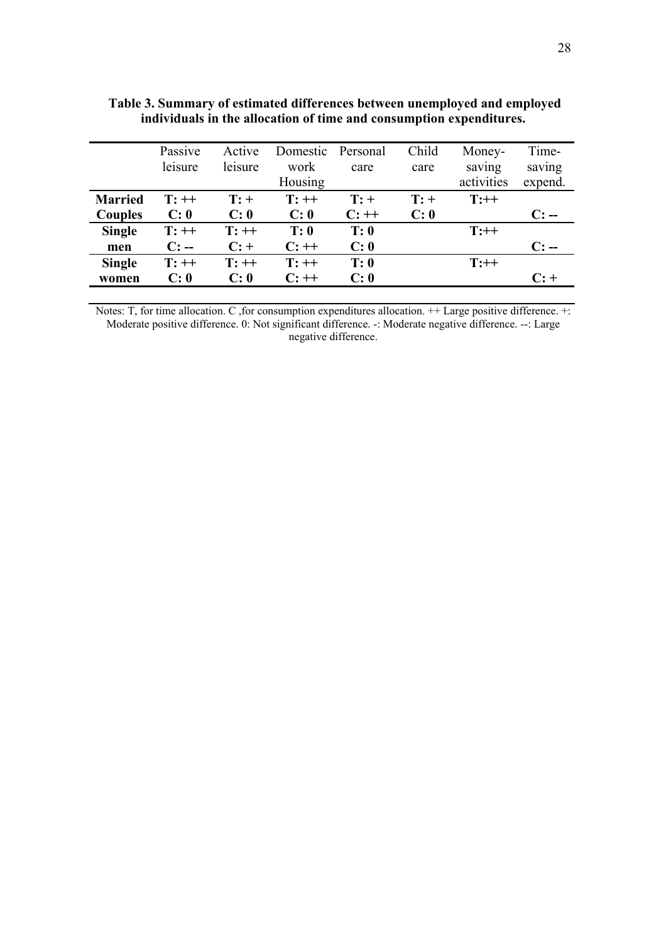|                | Passive | Active  | Domestic | Personal | Child  | Money-     | Time-   |
|----------------|---------|---------|----------|----------|--------|------------|---------|
|                | leisure | leisure | work     | care     | care   | saving     | saving  |
|                |         |         | Housing  |          |        | activities | expend. |
| <b>Married</b> | $T:++$  | $T: +$  | $T:++$   | $T: +$   | $T: +$ | $T:++$     |         |
| Couples        | C: 0    | C: 0    | C: 0     | $C:++$   | C: 0   |            | $C: -$  |
| <b>Single</b>  | $T:++$  | $T:++$  | T: 0     | T: 0     |        | $T:++$     |         |
| men            | $C: -$  | $C: +$  | $C:++$   | C: 0     |        |            | $C: -$  |
| <b>Single</b>  | $T:++$  | $T:++$  | $T:++$   | T: 0     |        | $T:++$     |         |
| women          | C: 0    | C: 0    | $C:++$   | C: 0     |        |            | $C: +$  |

 **Table 3. Summary of estimated differences between unemployed and employed individuals in the allocation of time and consumption expenditures.** 

Notes: T, for time allocation. C ,for consumption expenditures allocation. ++ Large positive difference. +: Moderate positive difference. 0: Not significant difference. -: Moderate negative difference. --: Large negative difference.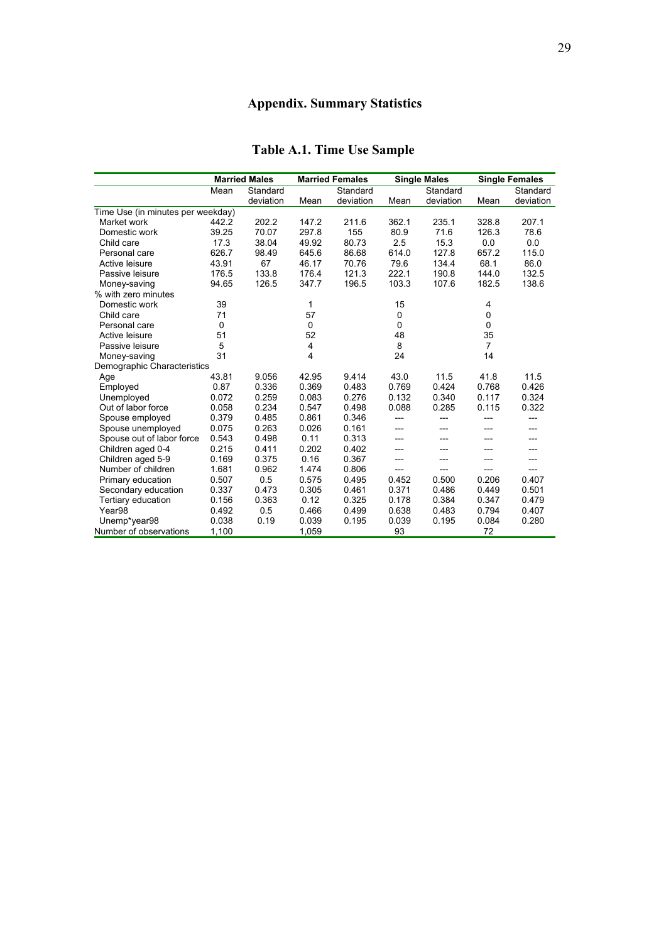# **Appendix. Summary Statistics**

|                                   |       | <b>Married Males</b> | <b>Married Females</b> |           | <b>Single Males</b> |           | <b>Single Females</b> |           |
|-----------------------------------|-------|----------------------|------------------------|-----------|---------------------|-----------|-----------------------|-----------|
|                                   | Mean  | Standard             |                        | Standard  |                     | Standard  |                       | Standard  |
|                                   |       | deviation            | Mean                   | deviation | Mean                | deviation | Mean                  | deviation |
| Time Use (in minutes per weekday) |       |                      |                        |           |                     |           |                       |           |
| Market work                       | 442.2 | 202.2                | 147.2                  | 211.6     | 362.1               | 235.1     | 328.8                 | 207.1     |
| Domestic work                     | 39.25 | 70.07                | 297.8                  | 155       | 80.9                | 71.6      | 126.3                 | 78.6      |
| Child care                        | 17.3  | 38.04                | 49.92                  | 80.73     | 2.5                 | 15.3      | 0.0                   | 0.0       |
| Personal care                     | 626.7 | 98.49                | 645.6                  | 86.68     | 614.0               | 127.8     | 657.2                 | 115.0     |
| Active leisure                    | 43.91 | 67                   | 46.17                  | 70.76     | 79.6                | 134.4     | 68.1                  | 86.0      |
| Passive leisure                   | 176.5 | 133.8                | 176.4                  | 121.3     | 222.1               | 190.8     | 144.0                 | 132.5     |
| Money-saving                      | 94.65 | 126.5                | 347.7                  | 196.5     | 103.3               | 107.6     | 182.5                 | 138.6     |
| % with zero minutes               |       |                      |                        |           |                     |           |                       |           |
| Domestic work                     | 39    |                      | 1                      |           | 15                  |           | 4                     |           |
| Child care                        | 71    |                      | 57                     |           | $\mathbf 0$         |           | 0                     |           |
| Personal care                     | 0     |                      | 0                      |           | $\Omega$            |           | 0                     |           |
| Active leisure                    | 51    |                      | 52                     |           | 48                  |           | 35                    |           |
| Passive leisure                   | 5     |                      | $\overline{4}$         |           | 8                   |           | $\overline{7}$        |           |
| Money-saving                      | 31    |                      | 4                      |           | 24                  |           | 14                    |           |
| Demographic Characteristics       |       |                      |                        |           |                     |           |                       |           |
| Age                               | 43.81 | 9.056                | 42.95                  | 9.414     | 43.0                | 11.5      | 41.8                  | 11.5      |
| Employed                          | 0.87  | 0.336                | 0.369                  | 0.483     | 0.769               | 0.424     | 0.768                 | 0.426     |
| Unemployed                        | 0.072 | 0.259                | 0.083                  | 0.276     | 0.132               | 0.340     | 0.117                 | 0.324     |
| Out of labor force                | 0.058 | 0.234                | 0.547                  | 0.498     | 0.088               | 0.285     | 0.115                 | 0.322     |
| Spouse employed                   | 0.379 | 0.485                | 0.861                  | 0.346     | ---                 | ---       |                       | ---       |
| Spouse unemployed                 | 0.075 | 0.263                | 0.026                  | 0.161     | ---                 | ---       |                       | ---       |
| Spouse out of labor force         | 0.543 | 0.498                | 0.11                   | 0.313     | ---                 | ---       | ---                   |           |
| Children aged 0-4                 | 0.215 | 0.411                | 0.202                  | 0.402     | $---$               | ---       | ---                   |           |
| Children aged 5-9                 | 0.169 | 0.375                | 0.16                   | 0.367     | ---                 | ---       |                       |           |
| Number of children                | 1.681 | 0.962                | 1.474                  | 0.806     | ---                 | ---       |                       |           |
| Primary education                 | 0.507 | 0.5                  | 0.575                  | 0.495     | 0.452               | 0.500     | 0.206                 | 0.407     |
| Secondary education               | 0.337 | 0.473                | 0.305                  | 0.461     | 0.371               | 0.486     | 0.449                 | 0.501     |
| Tertiary education                | 0.156 | 0.363                | 0.12                   | 0.325     | 0.178               | 0.384     | 0.347                 | 0.479     |
| Year <sub>98</sub>                | 0.492 | 0.5                  | 0.466                  | 0.499     | 0.638               | 0.483     | 0.794                 | 0.407     |
| Unemp*year98                      | 0.038 | 0.19                 | 0.039                  | 0.195     | 0.039               | 0.195     | 0.084                 | 0.280     |
| Number of observations            | 1,100 |                      | 1,059                  |           | 93                  |           | 72                    |           |

# **Table A.1. Time Use Sample**